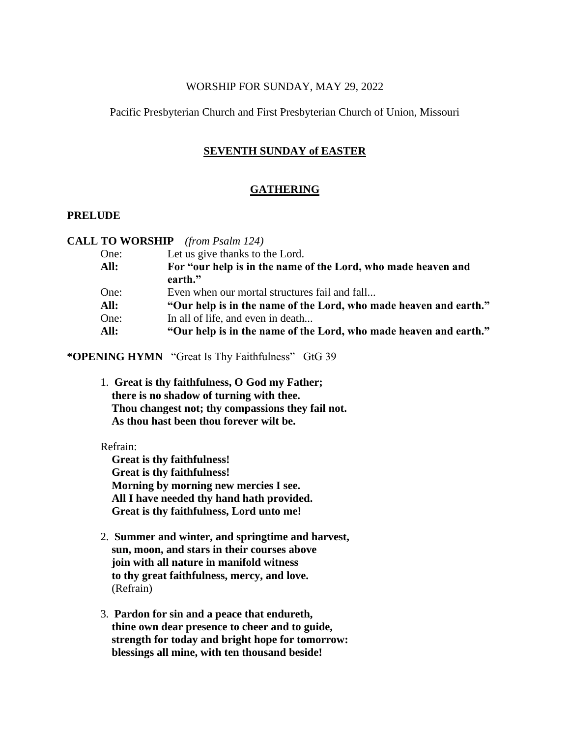# WORSHIP FOR SUNDAY, MAY 29, 2022

## Pacific Presbyterian Church and First Presbyterian Church of Union, Missouri

# **SEVENTH SUNDAY of EASTER**

# **GATHERING**

# **PRELUDE**

**CALL TO WORSHIP** *(from Psalm 124)*

| One: | Let us give thanks to the Lord.                                   |
|------|-------------------------------------------------------------------|
| All: | For "our help is in the name of the Lord, who made heaven and     |
|      | earth."                                                           |
| One: | Even when our mortal structures fail and fall                     |
| All: | "Our help is in the name of the Lord, who made heaven and earth." |
| One: | In all of life, and even in death                                 |
| All: | "Our help is in the name of the Lord, who made heaven and earth." |

**\*OPENING HYMN** "Great Is Thy Faithfulness" GtG 39

1. **Great is thy faithfulness, O God my Father; there is no shadow of turning with thee. Thou changest not; thy compassions they fail not. As thou hast been thou forever wilt be.**

#### Refrain:

 **Great is thy faithfulness! Great is thy faithfulness! Morning by morning new mercies I see. All I have needed thy hand hath provided. Great is thy faithfulness, Lord unto me!**

- 2. **Summer and winter, and springtime and harvest, sun, moon, and stars in their courses above join with all nature in manifold witness to thy great faithfulness, mercy, and love.** (Refrain)
- 3. **Pardon for sin and a peace that endureth, thine own dear presence to cheer and to guide, strength for today and bright hope for tomorrow: blessings all mine, with ten thousand beside!**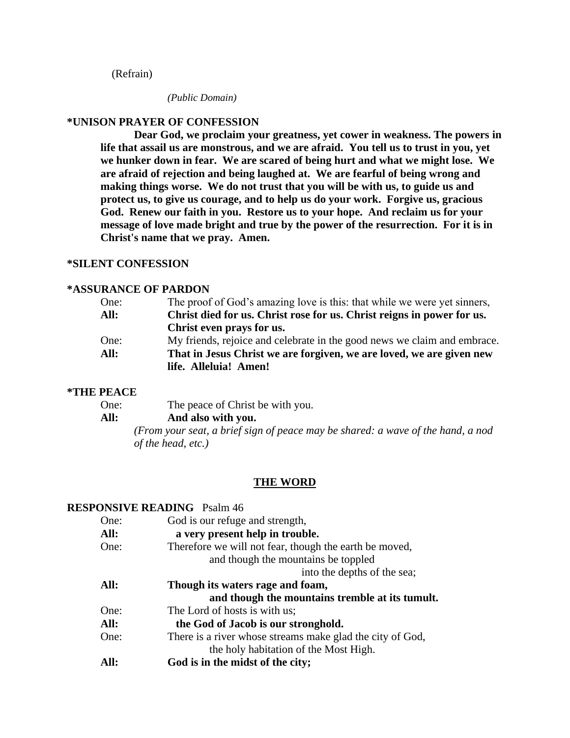(Refrain)

*(Public Domain)*

#### **\*UNISON PRAYER OF CONFESSION**

**Dear God, we proclaim your greatness, yet cower in weakness. The powers in life that assail us are monstrous, and we are afraid. You tell us to trust in you, yet we hunker down in fear. We are scared of being hurt and what we might lose. We are afraid of rejection and being laughed at. We are fearful of being wrong and making things worse. We do not trust that you will be with us, to guide us and protect us, to give us courage, and to help us do your work. Forgive us, gracious God. Renew our faith in you. Restore us to your hope. And reclaim us for your message of love made bright and true by the power of the resurrection. For it is in Christ's name that we pray. Amen.**

## **\*SILENT CONFESSION**

# **\*ASSURANCE OF PARDON**

| The proof of God's amazing love is this: that while we were yet sinners, |
|--------------------------------------------------------------------------|
| Christ died for us. Christ rose for us. Christ reigns in power for us.   |
| Christ even prays for us.                                                |
| My friends, rejoice and celebrate in the good news we claim and embrace. |
| That in Jesus Christ we are forgiven, we are loved, we are given new     |
| life. Alleluia! Amen!                                                    |
|                                                                          |

#### **\*THE PEACE**

One: The peace of Christ be with you.

# **All: And also with you.**

*(From your seat, a brief sign of peace may be shared: a wave of the hand, a nod of the head, etc.)*

#### **THE WORD**

## **RESPONSIVE READING** Psalm 46

| One: | God is our refuge and strength,                           |
|------|-----------------------------------------------------------|
| All: | a very present help in trouble.                           |
| One: | Therefore we will not fear, though the earth be moved,    |
|      | and though the mountains be toppled                       |
|      | into the depths of the sea;                               |
| All: | Though its waters rage and foam,                          |
|      | and though the mountains tremble at its tumult.           |
| One: | The Lord of hosts is with us;                             |
| All: | the God of Jacob is our stronghold.                       |
| One: | There is a river whose streams make glad the city of God, |
|      | the holy habitation of the Most High.                     |
| All: | God is in the midst of the city;                          |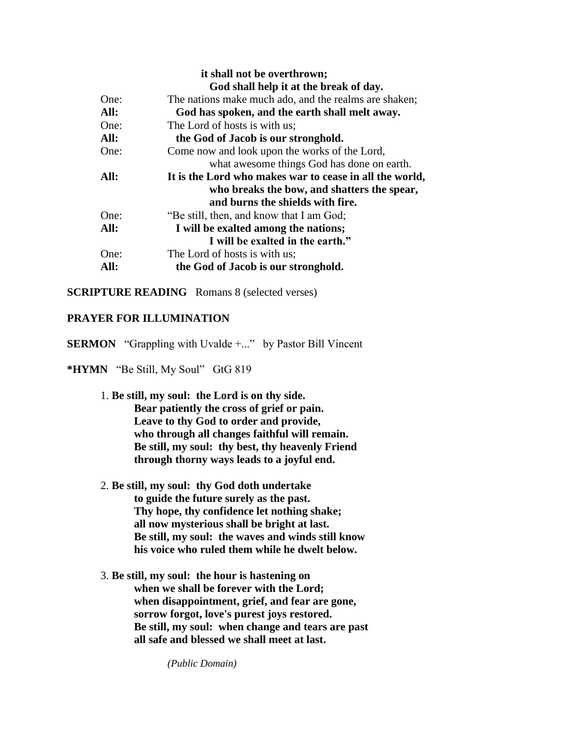|      | it shall not be overthrown;                             |
|------|---------------------------------------------------------|
|      | God shall help it at the break of day.                  |
| One: | The nations make much ado, and the realms are shaken;   |
| All: | God has spoken, and the earth shall melt away.          |
| One: | The Lord of hosts is with us;                           |
| All: | the God of Jacob is our stronghold.                     |
| One: | Come now and look upon the works of the Lord,           |
|      | what awesome things God has done on earth.              |
| All: | It is the Lord who makes war to cease in all the world, |
|      | who breaks the bow, and shatters the spear,             |
|      | and burns the shields with fire.                        |
| One: | "Be still, then, and know that I am God;                |
| All: | I will be exalted among the nations;                    |
|      | I will be exalted in the earth."                        |
| One: | The Lord of hosts is with us;                           |
| All: | the God of Jacob is our stronghold.                     |

**SCRIPTURE READING** Romans 8 (selected verses)

# **PRAYER FOR ILLUMINATION**

**SERMON** "Grappling with Uvalde +..." by Pastor Bill Vincent

**\*HYMN** "Be Still, My Soul" GtG 819

- 1. **Be still, my soul: the Lord is on thy side. Bear patiently the cross of grief or pain. Leave to thy God to order and provide, who through all changes faithful will remain. Be still, my soul: thy best, thy heavenly Friend through thorny ways leads to a joyful end.**
- 2. **Be still, my soul: thy God doth undertake to guide the future surely as the past. Thy hope, thy confidence let nothing shake; all now mysterious shall be bright at last. Be still, my soul: the waves and winds still know his voice who ruled them while he dwelt below.**
- 3. **Be still, my soul: the hour is hastening on when we shall be forever with the Lord; when disappointment, grief, and fear are gone, sorrow forgot, love's purest joys restored. Be still, my soul: when change and tears are past all safe and blessed we shall meet at last.**

*(Public Domain)*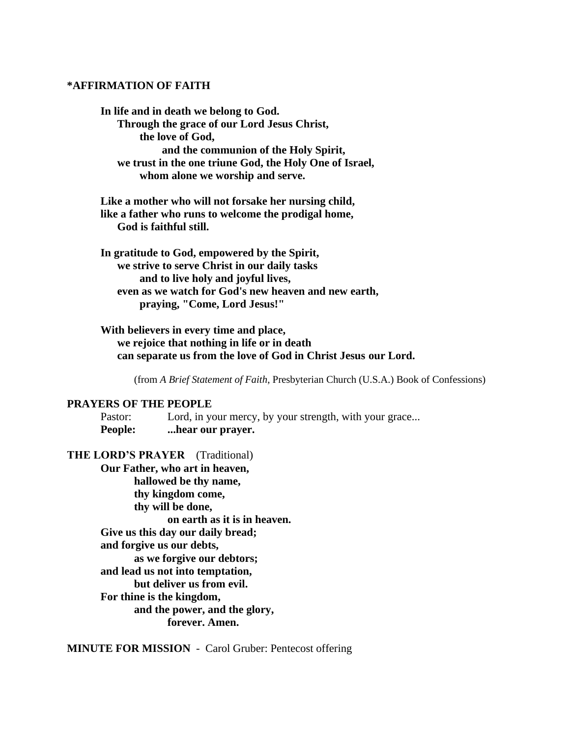#### **\*AFFIRMATION OF FAITH**

**In life and in death we belong to God. Through the grace of our Lord Jesus Christ, the love of God, and the communion of the Holy Spirit, we trust in the one triune God, the Holy One of Israel, whom alone we worship and serve.**

**Like a mother who will not forsake her nursing child, like a father who runs to welcome the prodigal home, God is faithful still.**

**In gratitude to God, empowered by the Spirit, we strive to serve Christ in our daily tasks and to live holy and joyful lives, even as we watch for God's new heaven and new earth, praying, "Come, Lord Jesus!"**

**With believers in every time and place, we rejoice that nothing in life or in death can separate us from the love of God in Christ Jesus our Lord.**

(from *A Brief Statement of Faith*, Presbyterian Church (U.S.A.) Book of Confessions)

#### **PRAYERS OF THE PEOPLE**

Pastor: Lord, in your mercy, by your strength, with your grace... **People: ...hear our prayer.**

**THE LORD'S PRAYER** (Traditional)

**Our Father, who art in heaven, hallowed be thy name, thy kingdom come, thy will be done, on earth as it is in heaven. Give us this day our daily bread; and forgive us our debts, as we forgive our debtors; and lead us not into temptation, but deliver us from evil. For thine is the kingdom, and the power, and the glory, forever. Amen.**

**MINUTE FOR MISSION** - Carol Gruber: Pentecost offering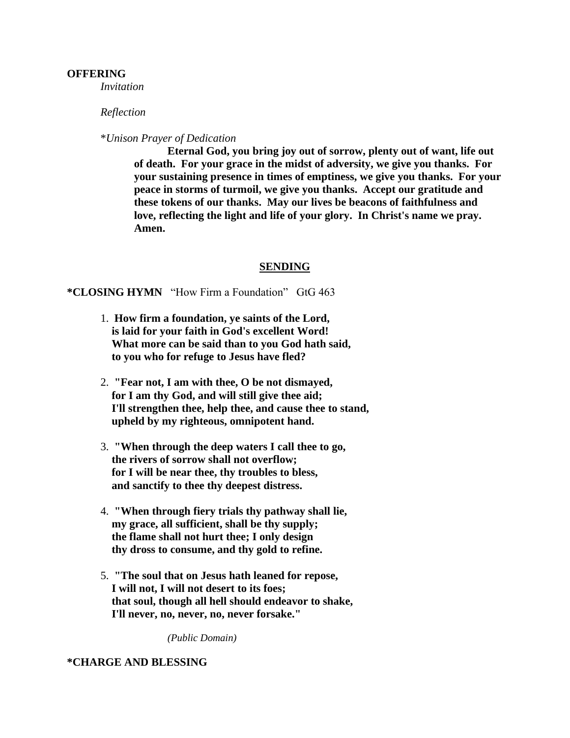#### **OFFERING**

*Invitation*

#### *Reflection*

\**Unison Prayer of Dedication*

**Eternal God, you bring joy out of sorrow, plenty out of want, life out of death. For your grace in the midst of adversity, we give you thanks. For your sustaining presence in times of emptiness, we give you thanks. For your peace in storms of turmoil, we give you thanks. Accept our gratitude and these tokens of our thanks. May our lives be beacons of faithfulness and love, reflecting the light and life of your glory. In Christ's name we pray. Amen.**

#### **SENDING**

**\*CLOSING HYMN** "How Firm a Foundation" GtG 463

- 1. **How firm a foundation, ye saints of the Lord, is laid for your faith in God's excellent Word! What more can be said than to you God hath said, to you who for refuge to Jesus have fled?**
- 2. **"Fear not, I am with thee, O be not dismayed, for I am thy God, and will still give thee aid; I'll strengthen thee, help thee, and cause thee to stand, upheld by my righteous, omnipotent hand.**
- 3. **"When through the deep waters I call thee to go, the rivers of sorrow shall not overflow; for I will be near thee, thy troubles to bless, and sanctify to thee thy deepest distress.**
- 4. **"When through fiery trials thy pathway shall lie, my grace, all sufficient, shall be thy supply; the flame shall not hurt thee; I only design thy dross to consume, and thy gold to refine.**
- 5. **"The soul that on Jesus hath leaned for repose, I will not, I will not desert to its foes; that soul, though all hell should endeavor to shake, I'll never, no, never, no, never forsake."**

*(Public Domain)*

#### **\*CHARGE AND BLESSING**